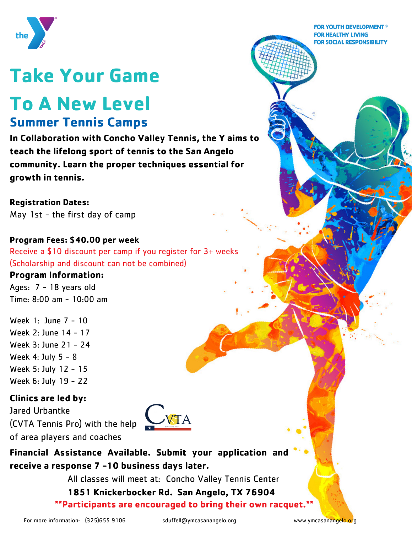

# **Take Your Game**

## **To A New Level Summer Tennis Camps**

**In Collaboration with Concho Valley Tennis, the Y aims to teach the lifelong sport of tennis to the San Angelo community. Learn the proper techniques essential for growth in tennis.**

**Registration Dates:** May 1st - the first day of camp

#### **Program Fees: \$40.00 per week**

Receive a \$10 discount per camp if you register for 3+ weeks (Scholarship and discount can not be combined)

#### **Program Information:**

Ages: 7 - 18 years old Time: 8:00 am - 10:00 am

Week 1: June 7 - 10 Week 2: June 14 - 17 Week 3: June 21 - 24 Week 4: July 5 - 8 Week 5: July 12 - 15 Week 6: July 19 - 22

#### **Clinics are led by:**

Jared Urbantke (CVTA Tennis Pro) with the help of area players and coaches



**Financial Assistance Available. Submit your application and receive a response 7 -10 business days later.**

All classes will meet at: Concho Valley Tennis Center

**1851 Knickerbocker Rd. San Angelo, TX 76904 \*\*Participants are encouraged to bring their own racquet.\*\***

**FOR YOUTH DEVELOPMENT<sup>®</sup> FOR HEALTHY LIVING FOR SOCIAL RESPONSIBILITY**